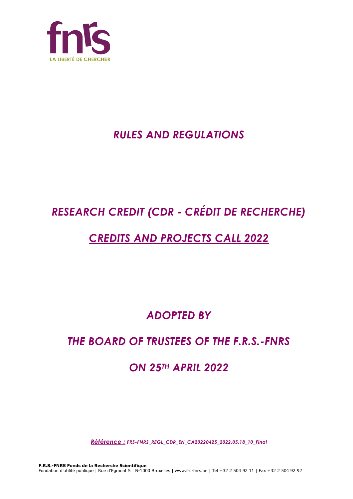

## *RULES AND REGULATIONS*

# *RESEARCH CREDIT (CDR - CRÉDIT DE RECHERCHE)*

## *CREDITS AND PROJECTS CALL 2022*

*ADOPTED BY*

## *THE BOARD OF TRUSTEES OF THE F.R.S.-FNRS*

## *ON 25TH APRIL 2022*

*Référence : FRS-FNRS\_REGL\_CDR\_EN\_CA20220425\_2022.05.18\_10\_Final*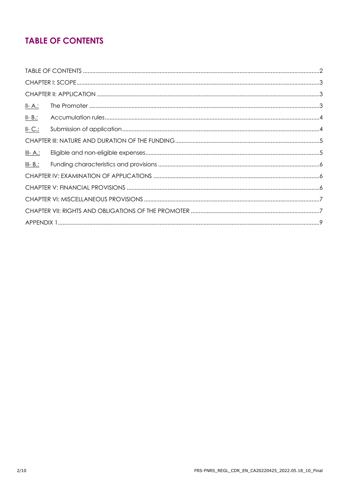### **TABLE OF CONTENTS**

| <u>II- A.:</u>  |  |  |  |
|-----------------|--|--|--|
| $II - B$ .:     |  |  |  |
| $II-C.$         |  |  |  |
|                 |  |  |  |
| <u>III- A.:</u> |  |  |  |
| $III - B$ .:    |  |  |  |
|                 |  |  |  |
|                 |  |  |  |
|                 |  |  |  |
|                 |  |  |  |
|                 |  |  |  |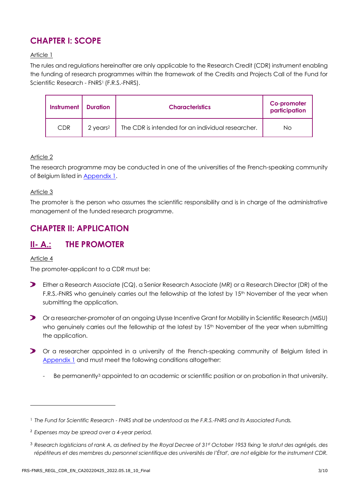### **CHAPTER I: SCOPE**

#### Article 1

The rules and regulations hereinafter are only applicable to the Research Credit (CDR) instrument enabling the funding of research programmes within the framework of the Credits and Projects Call of the Fund for Scientific Research - FNRS<sup>1</sup> (F.R.S.-FNRS).

| <b>Instrument   Duration</b> |                      | <b>Characteristics</b>                            | Co-promoter<br>participation |
|------------------------------|----------------------|---------------------------------------------------|------------------------------|
| <b>CDR</b>                   | 2 years <sup>2</sup> | The CDR is intended for an individual researcher. | No.                          |

#### Article 2

The research programme may be conducted in one of the universities of the French-speaking community of Belgium listed in [Appendix](#page-8-0) 1.

#### Article 3

The promoter is the person who assumes the scientific responsibility and is in charge of the administrative management of the funded research programme.

### **CHAPTER II: APPLICATION**

### **II- A.: THE PROMOTER**

#### Article 4

The promoter-applicant to a CDR must be:

- $\blacktriangleright$ Either a Research Associate (CQ), a Senior Research Associate (MR) or a Research Director (DR) of the F.R.S.-FNRS who genuinely carries out the fellowship at the latest by 15<sup>th</sup> November of the year when submitting the application.
- $\blacktriangleright$ Or a researcher-promoter of an ongoing Ulysse Incentive Grant for Mobility in Scientific Research (MISU) who genuinely carries out the fellowship at the latest by 15<sup>th</sup> November of the year when submitting the application.
- Or a researcher appointed in a university of the French-speaking community of Belgium listed in [Appendix 1](#page-8-0) and must meet the following conditions altogether:
	- Be permanently<sup>3</sup> appointed to an academic or scientific position or on probation in that university.

<sup>1</sup> *The Fund for Scientific Research - FNRS shall be understood as the F.R.S.-FNRS and its Associated Funds.*

<sup>2</sup> *Expenses may be spread over a 4-year period.*

<sup>3</sup> *Research logisticians of rank A, as defined by the Royal Decree of 31st October 1953 fixing 'le statut des agrégés, des*  répétiteurs et des membres du personnel scientifique des universités de l'État', are not eligible for the instrument CDR.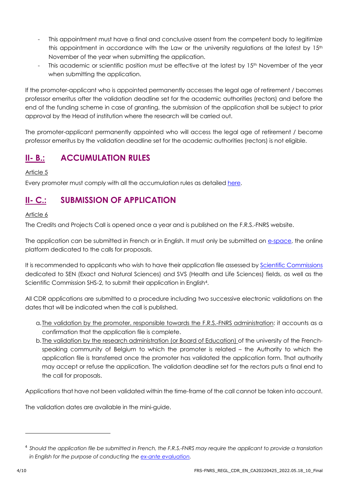- This appointment must have a final and conclusive assent from the competent body to legitimize this appointment in accordance with the Law or the university regulations at the latest by  $15<sup>th</sup>$ November of the year when submitting the application.
- This academic or scientific position must be effective at the latest by 15<sup>th</sup> November of the year when submitting the application.

If the promoter-applicant who is appointed permanently accesses the legal age of retirement / becomes professor emeritus after the validation deadline set for the academic authorities (rectors) and before the end of the funding scheme in case of granting, the submission of the application shall be subject to prior approval by the Head of institution where the research will be carried out.

The promoter-applicant permanently appointed who will access the legal age of retirement / become professor emeritus by the validation deadline set for the academic authorities (rectors) is not eligible.

### **II- B.: ACCUMULATION RULES**

Article 5

Every promoter must comply with all the accumulation rules as detailed [here.](https://www.frs-fnrs.be/docs/Reglement-et-documents/Regles-cumul.pdf)

### **II- C.: SUBMISSION OF APPLICATION**

#### Article 6

The Credits and Projects Call is opened once a year and is published on the F.R.S.-FNRS website.

The application can be submitted in French or in English. It must only be submitted on [e-space,](https://e-space.frs-fnrs.be/) the online platform dedicated to the calls for proposals.

It is recommended to applicants who wish to have their application file assessed by [Scientific Commissions](https://www.frs-fnrs.be/docs/Reglement-et-documents/FRS-FNRS_Champs_descripteurs.pdf) dedicated to SEN (Exact and Natural Sciences) and SVS (Health and Life Sciences) fields, as well as the Scientific Commission SHS-2, to submit their application in English4.

All CDR applications are submitted to a procedure including two successive electronic validations on the dates that will be indicated when the call is published.

- a.The validation by the promoter, responsible towards the F.R.S.-FNRS administration: it accounts as a confirmation that the application file is complete.
- b.The validation by the research administration (or Board of Education) of the university of the Frenchspeaking community of Belgium to which the promoter is related – the Authority to which the application file is transferred once the promoter has validated the application form. That authority may accept or refuse the application. The validation deadline set for the rectors puts a final end to the call for proposals.

Applications that have not been validated within the time-frame of the call cannot be taken into account.

The validation dates are available in the mini-guide.

<sup>4</sup> *Should the application file be submitted in French, the F.R.S.-FNRS may require the applicant to provide a translation in English for the purpose of conducting the [ex-ante evaluation.](https://www.frs-fnrs.be/docs/Reglement-et-documents/FRS-FNRS_Guide_Evaluation_EN.pdf)*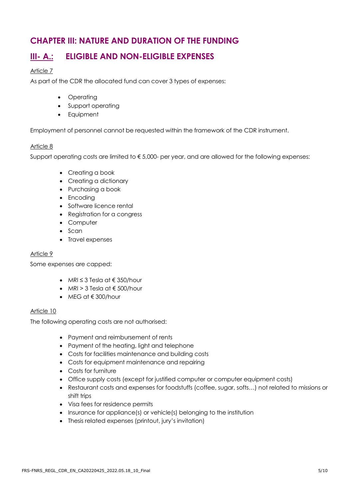### **CHAPTER III: NATURE AND DURATION OF THE FUNDING**

### **III- A.: ELIGIBLE AND NON-ELIGIBLE EXPENSES**

#### Article 7

As part of the CDR the allocated fund can cover 3 types of expenses:

- Operating
- Support operating
- Equipment

Employment of personnel cannot be requested within the framework of the CDR instrument.

#### Article 8

Support operating costs are limited to  $\epsilon$  5,000- per year, and are allowed for the following expenses:

- Creating a book
- Creating a dictionary
- Purchasing a book
- Encoding
- Software licence rental
- Registration for a congress
- Computer
- Scan
- Travel expenses

#### Article 9

Some expenses are capped:

- MRI  $\leq$  3 Tesla at  $\in$  350/hour
- MRI > 3 Tesla at  $\notin$  500/hour
- MEG at € 300/hour

#### Article 10

The following operating costs are not authorised:

- Payment and reimbursement of rents
- Payment of the heating, light and telephone
- Costs for facilities maintenance and building costs
- Costs for equipment maintenance and repairing
- Costs for furniture
- Office supply costs (except for justified computer or computer equipment costs)
- Restaurant costs and expenses for foodstuffs (coffee, sugar, softs…) not related to missions or shift trips
- Visa fees for residence permits
- Insurance for appliance(s) or vehicle(s) belonging to the institution
- Thesis related expenses (printout, jury's invitation)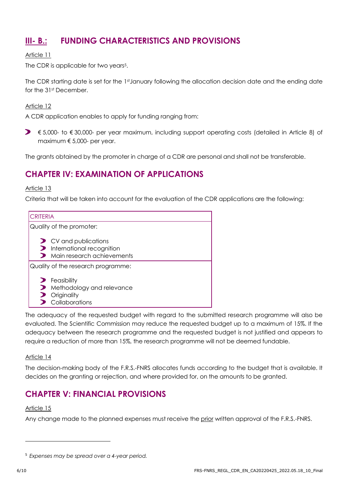### **III- B.: FUNDING CHARACTERISTICS AND PROVISIONS**

#### Article 11

The CDR is applicable for two years<sup>5</sup>.

The CDR starting date is set for the 1st January following the allocation decision date and the ending date for the 31st December.

#### Article 12

A CDR application enables to apply for funding ranging from:

€ 5,000- to € 30,000- per year maximum, including support operating costs (detailed in Article 8) of maximum € 5,000- per year.

The grants obtained by the promoter in charge of a CDR are personal and shall not be transferable.

### **CHAPTER IV: EXAMINATION OF APPLICATIONS**

#### Article 13

Criteria that will be taken into account for the evaluation of the CDR applications are the following:

| <b>CRITERIA</b>                                                                                                 |  |  |  |
|-----------------------------------------------------------------------------------------------------------------|--|--|--|
| Quality of the promoter:                                                                                        |  |  |  |
| $\triangleright$ CV and publications<br>International recognition<br>Main research achievements<br>$\mathbf{r}$ |  |  |  |
| Quality of the research programme:                                                                              |  |  |  |
| $\blacktriangleright$ Feasibility<br>Methodology and relevance<br>Originality<br>Collaborations                 |  |  |  |

The adequacy of the requested budget with regard to the submitted research programme will also be evaluated. The Scientific Commission may reduce the requested budget up to a maximum of 15%. If the adequacy between the research programme and the requested budget is not justified and appears to require a reduction of more than 15%, the research programme will not be deemed fundable.

#### Article 14

The decision-making body of the F.R.S.-FNRS allocates funds according to the budget that is available. It decides on the granting or rejection, and where provided for, on the amounts to be granted.

### **CHAPTER V: FINANCIAL PROVISIONS**

#### Article 15

Any change made to the planned expenses must receive the prior written approval of the F.R.S.-FNRS.

<sup>5</sup> *Expenses may be spread over a 4-year period.*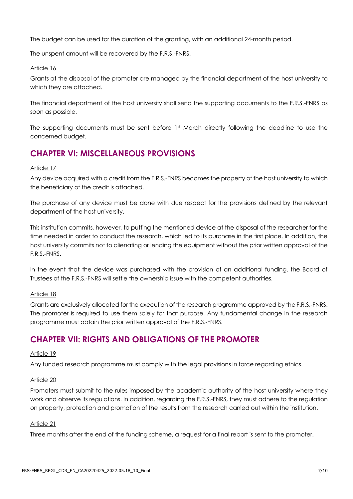The budget can be used for the duration of the granting, with an additional 24-month period.

The unspent amount will be recovered by the F.R.S.-FNRS.

#### Article 16

Grants at the disposal of the promoter are managed by the financial department of the host university to which they are attached.

The financial department of the host university shall send the supporting documents to the F.R.S.-FNRS as soon as possible.

The supporting documents must be sent before 1st March directly following the deadline to use the concerned budget.

### **CHAPTER VI: MISCELLANEOUS PROVISIONS**

#### Article 17

Any device acquired with a credit from the F.R.S.-FNRS becomes the property of the host university to which the beneficiary of the credit is attached.

The purchase of any device must be done with due respect for the provisions defined by the relevant department of the host university.

This institution commits, however, to putting the mentioned device at the disposal of the researcher for the time needed in order to conduct the research, which led to its purchase in the first place. In addition, the host university commits not to alienating or lending the equipment without the prior written approval of the F.R.S.-FNRS.

In the event that the device was purchased with the provision of an additional funding, the Board of Trustees of the F.R.S.-FNRS will settle the ownership issue with the competent authorities.

#### Article 18

Grants are exclusively allocated for the execution of the research programme approved by the F.R.S.-FNRS. The promoter is required to use them solely for that purpose. Any fundamental change in the research programme must obtain the prior written approval of the F.R.S.-FNRS.

### **CHAPTER VII: RIGHTS AND OBLIGATIONS OF THE PROMOTER**

#### Article 19

Any funded research programme must comply with the legal provisions in force regarding ethics.

#### Article 20

Promoters must submit to the rules imposed by the academic authority of the host university where they work and observe its regulations. In addition, regarding the F.R.S.-FNRS, they must adhere to the regulation on property, protection and promotion of the results from the research carried out within the institution.

#### Article 21

Three months after the end of the funding scheme, a request for a final report is sent to the promoter.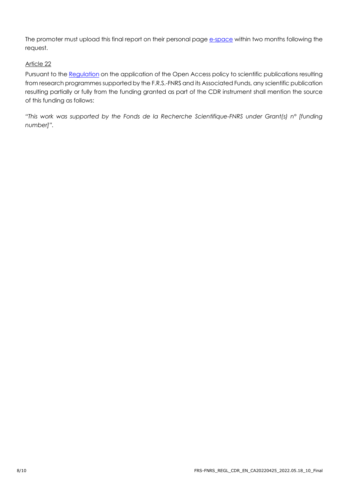The promoter must upload this final report on their personal page [e-space](https://e-space.frs-fnrs.be/) within two months following the request.

#### Article 22

Pursuant to the [Regulation](https://www.fnrs.be/docs/Reglement_OPEN_ACCESS_EN.pdf) on the application of the Open Access policy to scientific publications resulting from research programmes supported by the F.R.S.-FNRS and its Associated Funds, any scientific publication resulting partially or fully from the funding granted as part of the CDR instrument shall mention the source of this funding as follows:

*"This work was supported by the Fonds de la Recherche Scientifique-FNRS under Grant(s) n° [funding number]".*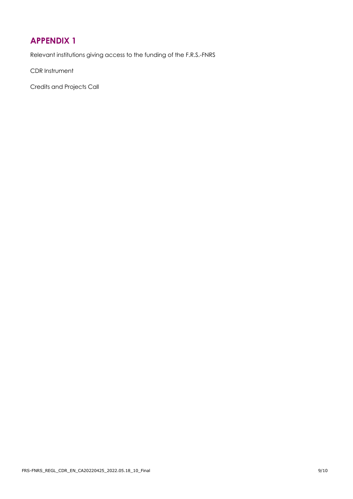### <span id="page-8-0"></span>**[APPENDIX 1](file://///weuprdfnrdatafb0c.file.core.windows.net/data/Fraselle/FL_fichiers%20communs%20avec%20Céline/APPEL%20crédits%20projets%202016/Règlements%20finalisés/PROJET%20CDR_2016_EN.docx%23_Article_4)**

Relevant institutions giving access to the funding of the F.R.S.-FNRS

CDR Instrument

Credits and Projects Call